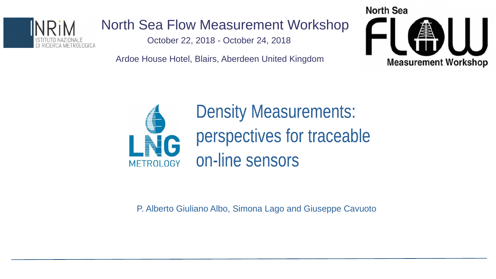

# North Sea Flow Measurement Workshop

October 22, 2018 - October 24, 2018

Ardoe House Hotel, Blairs, Aberdeen United Kingdom





**Density Measurements:** perspectives for traceable on-line sensors

P. Alberto Giuliano Albo, Simona Lago and Giuseppe Cavuoto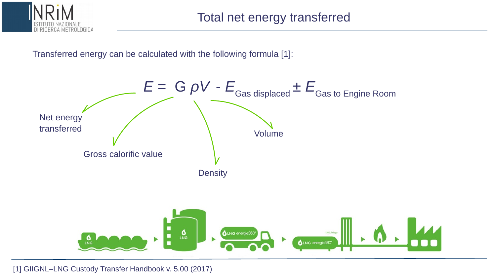

#### Transferred energy can be calculated with the following formula [1]:



[1] GIIGNL–LNG Custody Transfer Handbook v. 5.00 (2017)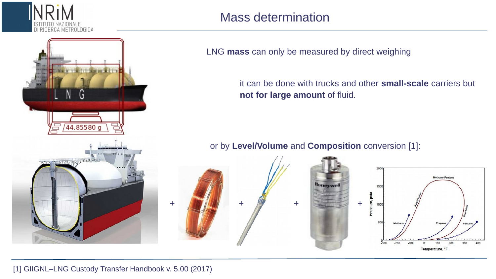

### Mass determination

LNG **mass** can only be measured by direct weighing

it can be done with trucks and other **small-scale** carriers but **not for large amount** of fluid.

or by **Level/Volume** and **Composition** conversion [1]:

Honeywel



 $\mathbf{G}$ 





#### [1] GIIGNL–LNG Custody Transfer Handbook v. 5.00 (2017)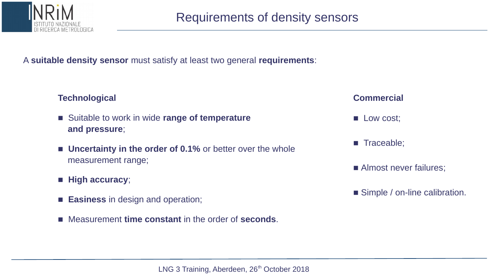

A **suitable density sensor** must satisfy at least two general **requirements**:

#### **Technological**

- Suitable to work in wide **range of temperature and pressure**;
- **Uncertainty in the order of 0.1%** or better over the whole measurement range;
- **High accuracy**;
- **Easiness** in design and operation;
- Measurement **time constant** in the order of **seconds**.

#### **Commercial**

- Low cost;
- Traceable;
- Almost never failures;
- Simple / on-line calibration.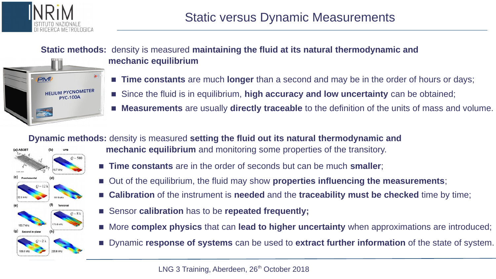

#### **Static methods:** density is measured **maintaining the fluid at its natural thermodynamic and mechanic equilibrium**



- **Time constants** are much **longer** than a second and may be in the order of hours or days;
- Since the fluid is in equilibrium, **high accuracy and low uncertainty** can be obtained;
- **Measurements** are usually **directly traceable** to the definition of the units of mass and volume.

#### **Dynamic methods:** density is measured **setting the fluid out its natural thermodynamic and**



- **mechanic equilibrium** and monitoring some properties of the transitory.
- **Time constants** are in the order of seconds but can be much **smaller**;
- Out of the equilibrium, the fluid may show **properties influencing the measurements**;
- **Calibration** of the instrument is **needed** and the **traceability must be checked** time by time;
- Sensor **calibration** has to be **repeated frequently**;
- More **complex physics** that can **lead to higher uncertainty** when approximations are introduced;
- Dynamic **response of systems** can be used to **extract further information** of the state of system.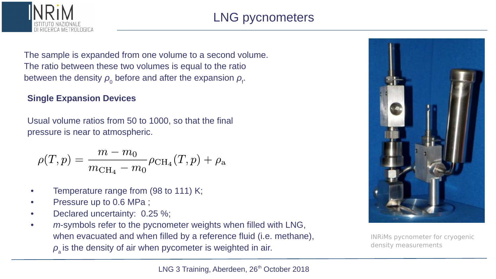



The sample is expanded from one volume to a second volume. The ratio between these two volumes is equal to the ratio between the density  $\rho_{_0}$  before and after the expansion  $\rho_{_{\rm f}}$ .

#### **Single Expansion Devices**

Usual volume ratios from 50 to 1000, so that the final pressure is near to atmospheric.

$$
\rho(T, p) = \frac{m - m_0}{m_{\text{CH}_4} - m_0} \rho_{\text{CH}_4}(T, p) + \rho_{\text{a}}
$$

- Temperature range from (98 to 111) K;
- Pressure up to 0.6 MPa;
- Declared uncertainty: 0.25 %;
- *m*-symbols refer to the pycnometer weights when filled with LNG, when evacuated and when filled by a reference fluid (i.e. methane),  $\rho_{_{\rm a}}$  is the density of air when pycometer is weighted in air.



INRiMs pycnometer for cryogenic density measurements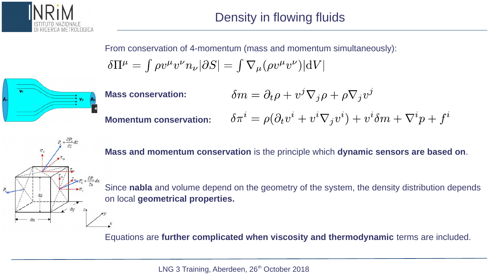

From conservation of 4-momentum (mass and momentum simultaneously):

$$
\delta \Pi^{\mu} = \int \rho v^{\mu} v^{\nu} n_{\nu} |\partial S| = \int \nabla_{\mu} (\rho v^{\mu} v^{\nu}) |dV|
$$



 $\delta m = \partial_t \rho + v^j \nabla_j \rho + \rho \nabla_j v^j$ **Mass conservation:**  $\delta \pi^i = \rho (\partial_t v^i + v^i \nabla_j v^i) + v^i \delta m + \nabla^i p + f^i$ **Momentum conservation:**

**Mass and momentum conservation** is the principle which **dynamic sensors are based on**.

Since **nabla** and volume depend on the geometry of the system, the density distribution depends on local **geometrical properties.**

Equations are **further complicated when viscosity and thermodynamic** terms are included.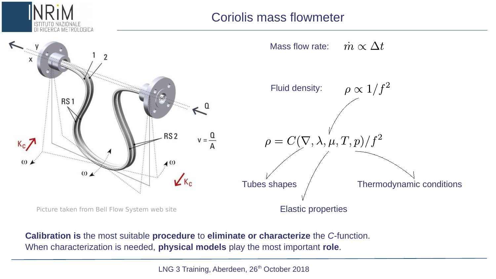

## Coriolis mass flowmeter



**Calibration is** the most suitable **procedure** to **eliminate or characterize** the *C*-function. When characterization is needed, **physical models** play the most important **role**.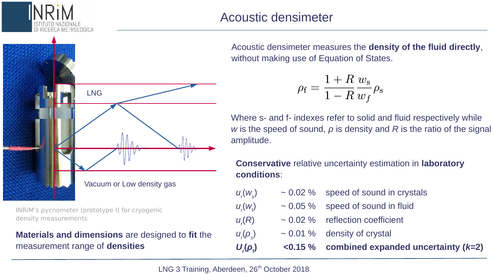

INRiM's pycnometer (prototype I) for cryogenic density measurements

### **Materials and dimensions** are designed to **fit** the measurement range of **densities**

Acoustic densimeter measures the **density of the fluid directly**, without making use of Equation of States.

$$
o_{\rm f} = \frac{1+R}{1-R} \frac{w_{\rm s}}{w_f} \rho_{\rm s}
$$

Where s- and f- indexes refer to solid and fluid respectively while *w* is the speed of sound, *ρ* is density and *R* is the ratio of the signal amplitude.

**Conservative** relative uncertainty estimation in **laboratory conditions**:

- *u*r (*w*<sup>s</sup>  $\sim$  0.02 % speed of sound in crystals
	- $\sim$  0.05 % speed of sound in fluid
	- ~ 0.02 % reflection coefficient
		- $\sim$  0.01 % density of crystal
		- **) <0.15 % combined expanded uncertainty (***k***=2)**

*u*r (*w*f

 $u_r(R)$ 

*u*r (*ρs*

 $U$ <sub>r</sub> $(ρ$ <sub>f</sub>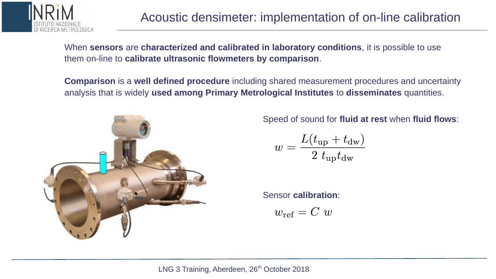

When **sensors** are **characterized and calibrated in laboratory conditions**, it is possible to use them on-line to **calibrate ultrasonic flowmeters by comparison**.

**Comparison** is a **well defined procedure** including shared measurement procedures and uncertainty analysis that is widely **used among Primary Metrological Institutes** to **disseminates** quantities.



Speed of sound for **fluid at rest** when **fluid flows**:

$$
w = \frac{L(t_{\rm up} + t_{\rm dw})}{2 t_{\rm up} t_{\rm dw}}
$$

Sensor **calibration**:

$$
w_{\text{ref}} = C \ w
$$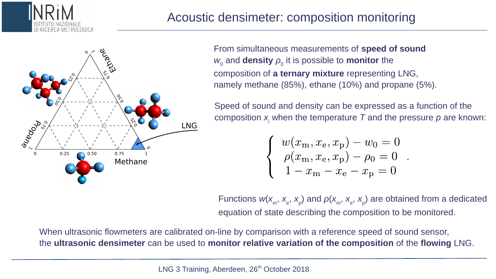



From simultaneous measurements of **speed of sound**  $w_\text{o}$  and **density**  $\rho_\text{o}$  it is possible to **monitor** the composition of **a ternary mixture** representing LNG, namely methane (85%), ethane (10%) and propane (5%).

Speed of sound and density can be expressed as a function of the composition  $x_i$  when the temperature  $\tau$  and the pressure  $p$  are known:

 $\left\{\n\begin{array}{l} w(x_\text{m}, x_\text{e}, x_\text{p}) - w_0 = 0 \ \rho(x_\text{m}, x_\text{e}, x_\text{p}) - \rho_0 = 0 \ 1 - x_\text{m} - x_\text{e} - x_\text{p} = 0 \end{array}\n\right..$ 

Functions  $w(x_{\scriptscriptstyle \sf m},x_{\scriptscriptstyle \sf e},x_{\scriptscriptstyle \sf p})$  and  $\rho(x_{\scriptscriptstyle \sf m},x_{\scriptscriptstyle \sf e},x_{\scriptscriptstyle \sf p})$  are obtained from a dedicated equation of state describing the composition to be monitored.

When ultrasonic flowmeters are calibrated on-line by comparison with a reference speed of sound sensor, the **ultrasonic densimeter** can be used to **monitor relative variation of the composition** of the **flowing** LNG.